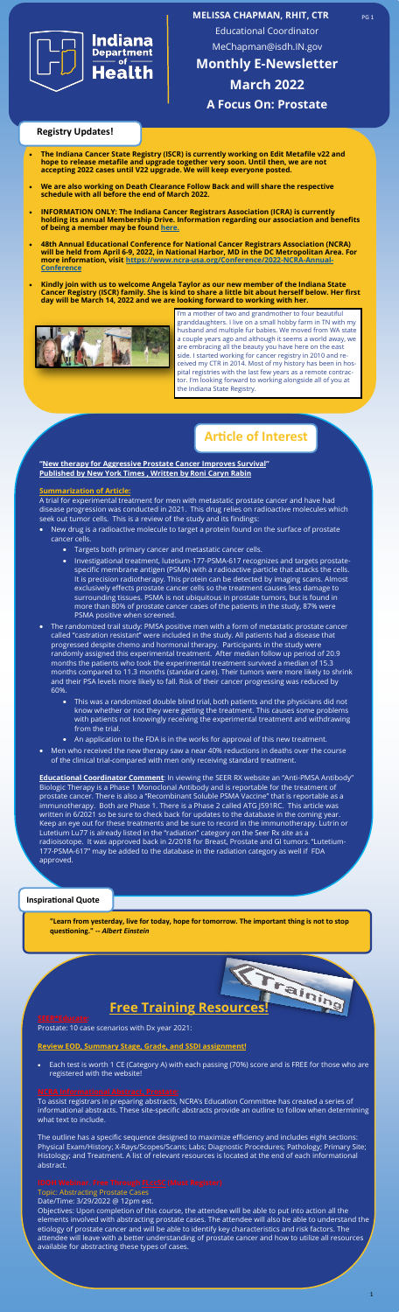1



**MELISSA CHAPMAN, RHIT, CTR**

Educational Coordinator MeChapman@isdh.IN.gov

**Monthly E-Newsletter March 2022 A Focus On: Prostate**

## **Inspirational Quote**

**"New therapy for Aggressive Prostate Cancer Improves Survival" Published by New York Times , Written by Roni Caryn Rabin** 

## **Summarization of Article:**

A trial for experimental treatment for men with metastatic prostate cancer and have had disease progression was conducted in 2021. This drug relies on radioactive molecules which seek out tumor cells. This is a review of the study and its findings:

- **Seek out tumor cells.** This is a review of the study and its findings:<br>• New drug is a radioactive molecule to target a protein found on the surface of prostate cancer cells.
	- Targets both primary cancer and metastatic cancer cells.
	- 77-PSMA-617 recognizes and t<br>ith a radioactive particle that a<br>ein can be detected by imagin<sub>i</sub><br>Ils so the treatment causes les<br>quitous in prostate tumors, bu<br>ses of the patients in the study • Investigational treatment, lutetium-177-PSMA-617 recognizes and targets prostatespecific membrane antigen (PSMA) with a radioactive particle that attacks the cells. It is precision radiotherapy. This protein can be detected by imaging scans. Almost exclusively effects prostate cancer cells so the treatment causes less damage to surrounding tissues. PSMA is not ubiquitous in prostate tumors, but is found in more than 80% of prostate cancer cases of the patients in the study, 87% were PSMA positive when screened.

**Educational Coordinator Comment:** In viewing the SEER RX website an "Anti-PMSA Antibody" Biologic Therapy is a Phase 1 Monoclonal Antibody and is reportable for the treatment of prostate cancer. There is also a "Recombinant Soluble PSMA Vaccine" that is reportable as a immunotherapy. Both are Phase 1. There is a Phase 2 called ATG J591RC. This article was written in 6/2021 so be sure to check back for updates to the database in the coming year. Keep an eye out for these treatments and be sure to record in the immunotherapy. Lutrin or Lutetium Lu77 is already listed in the "radiation" category on the Seer Rx site as a radioisotope. It was approved back in 2/2018 for Breast, Prostate and GI tumors. "Lutetium-177-PSMA-617" may be added to the database in the radiation category as well if FDA approved.

- The randomized trail study: PMSA positive men with a form of metastatic prostate cancer called "castration resistant" were included in the study. All patients had a disease that progressed despite chemo and hormonal therapy. Participants in the study were randomly assigned this experimental treatment. After median follow up period of 20.9 months the patients who took the experimental treatment survived a median of 15.3 months compared to 11.3 months (standard care). Their tumors were more likely to shrink and their PSA levels more likely to fall. Risk of their cancer progressing was reduced by 60%.
	- This was a randomized double blind trial, both patients and the physicians did not know whether or not they were getting the treatment. This causes some problems with patients not knowingly receiving the experimental treatment and withdrawing from the trial.
	- An application to the FDA is in the works for approval of this new treatment.
- Men who received the new therapy saw a near 40% reductions in deaths over the course of the clinical trial-compared with men only receiving standard treatment.

**"Learn from yesterday, live for today, hope for tomorrow. The important thing is not to stop questioning." --** *Albert Einstein*

Prostate: 10 case scenarios with Dx year 2021:

### **Review EOD, Summary Stage, Grade, and SSDI assignment!**

• Each test is worth 1 CE (Category A) with each passing (70%) score and is FREE for those who are registered with the website!

Faining

To assist registrars in preparing abstracts, NCRA's Education Committee has created a series of informational abstracts. These site-specific abstracts provide an outline to follow when determining what text to include.

The outline has a specific sequence designed to maximize efficiency and includes eight sections: Physical Exam/History; X-Rays/Scopes/Scans; Labs; Diagnostic Procedures; Pathology; Primary Site; Histology; and Treatment. A list of relevant resources is located at the end of each informational abstract.

# Topic: Abstracting Prostate Cases Date/Time: 3/29/2022 @ 12pm est. Objectives: Upon completion of this course, the attendee will be able to put into action all the elements involved with abstracting prostate cases. The attendee will also be able to understand the etiology of prostate cancer and will be able to identify key characteristics and risk factors. The attendee will leave with a better understanding of prostate cancer and how to utilize all resources available for abstracting these types of cases.

# **Free Training Resources!**

- **The Indiana Cancer State Registry (ISCR) is currently working on Edit Metafile v22 and hope to release metafile and upgrade together very soon. Until then, we are not accepting 2022 cases until V22 upgrade. We will keep everyone posted.**
- **We are also working on Death Clearance Follow Back and will share the respective schedule with all before the end of March 2022.**
- **INFORMATION ONLY: The Indiana Cancer Registrars Association (ICRA) is currently holding its annual Membership Drive. Information regarding our association and benefits of being a member may be found [here.](https://icra-indiana.net/%20and%20clicking%20on%20membership.)**
- **48th Annual Educational Conference for National Cancer Registrars Association (NCRA) will be held from April 6-9, 2022, in National Harbor, MD in the DC Metropolitan Area. For more information, visit https://www.ncra-[usa.org/Conference/2022](https://www.ncra-usa.org/Conference/2022-NCRA-Annual-Conference)-NCRA-Annual-[Conference](https://www.ncra-usa.org/Conference/2022-NCRA-Annual-Conference)**
- **Kindly join with us to welcome Angela Taylor as our new member of the Indiana State Cancer Registry (ISCR) family. She is kind to share a little bit about herself below. Her first day will be March 14, 2022 and we are looking forward to working with her.**



# **Article of Interest**

I'm a mother of two and grandmother to four beautiful granddaughters. I live on a small hobby farm in TN with my husband and multiple fur babies. We moved from WA state a couple years ago and although it seems a world away, we are embracing all the beauty you have here on the east side. I started working for cancer registry in 2010 and received my CTR in 2014. Most of my history has been in hospital registries with the last few years as a remote contractor. I'm looking forward to working alongside all of you at the Indiana State Registry.

# **Registry Updates!**